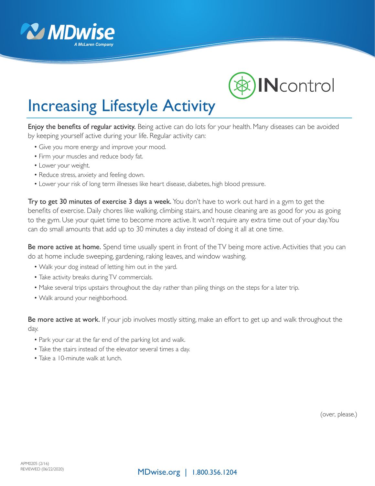



## Increasing Lifestyle Activity

Enjoy the benefits of regular activity. Being active can do lots for your health. Many diseases can be avoided by keeping yourself active during your life. Regular activity can:

- Give you more energy and improve your mood.
- Firm your muscles and reduce body fat.
- Lower your weight.
- Reduce stress, anxiety and feeling down.
- Lower your risk of long term illnesses like heart disease, diabetes, high blood pressure.

Try to get 30 minutes of exercise 3 days a week. You don't have to work out hard in a gym to get the benefits of exercise. Daily chores like walking, climbing stairs, and house cleaning are as good for you as going to the gym. Use your quiet time to become more active. It won't require any extra time out of your day. You can do small amounts that add up to 30 minutes a day instead of doing it all at one time.

Be more active at home. Spend time usually spent in front of the TV being more active. Activities that you can do at home include sweeping, gardening, raking leaves, and window washing.

- Walk your dog instead of letting him out in the yard.
- Take activity breaks during TV commercials.
- Make several trips upstairs throughout the day rather than piling things on the steps for a later trip.
- Walk around your neighborhood.

Be more active at work. If your job involves mostly sitting, make an effort to get up and walk throughout the day.

- Park your car at the far end of the parking lot and walk.
- Take the stairs instead of the elevator several times a day.
- Take a 10-minute walk at lunch.

(over, please.)